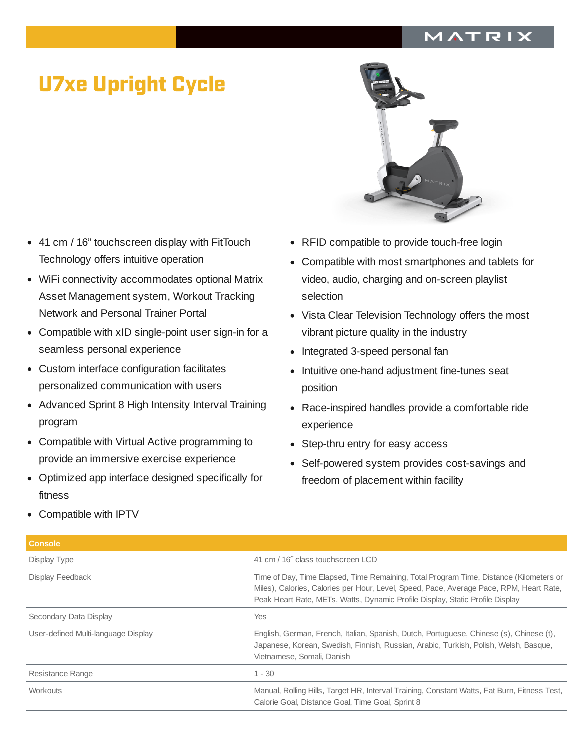## MATRIX

## U7xe Upright Cycle

- 41 cm / 16" touchscreen display with FitTouch  $\bullet$ Technology offers intuitive operation
- WiFi connectivity accommodates optional Matrix Asset Management system, Workout Tracking Network and Personal Trainer Portal
- $\bullet$ Compatible with xID single-point user sign-in for a seamless personal experience
- Custom interface configuration facilitates personalized communication with users
- Advanced Sprint 8 High Intensity Interval Training program
- Compatible with Virtual Active programming to provide an immersive exercise experience
- Optimized app interface designed specifically for fitness



- RFID compatible to provide touch-free login
- Compatible with most smartphones and tablets for video, audio, charging and on-screen playlist selection
- Vista Clear Television Technology offers the most vibrant picture quality in the industry
- Integrated 3-speed personal fan
- Intuitive one-hand adjustment fine-tunes seat position
- Race-inspired handles provide a comfortable ride experience
- Step-thru entry for easy access
- Self-powered system provides cost-savings and freedom of placement within facility

Compatible with IPTV

| <b>Console</b>                      |                                                                                                                                                                                                                                                                    |
|-------------------------------------|--------------------------------------------------------------------------------------------------------------------------------------------------------------------------------------------------------------------------------------------------------------------|
| Display Type                        | 41 cm / 16" class touchscreen LCD                                                                                                                                                                                                                                  |
| Display Feedback                    | Time of Day, Time Elapsed, Time Remaining, Total Program Time, Distance (Kilometers or<br>Miles), Calories, Calories per Hour, Level, Speed, Pace, Average Pace, RPM, Heart Rate,<br>Peak Heart Rate, METs, Watts, Dynamic Profile Display, Static Profile Display |
| Secondary Data Display              | <b>Yes</b>                                                                                                                                                                                                                                                         |
| User-defined Multi-language Display | English, German, French, Italian, Spanish, Dutch, Portuguese, Chinese (s), Chinese (t),<br>Japanese, Korean, Swedish, Finnish, Russian, Arabic, Turkish, Polish, Welsh, Basque,<br>Vietnamese, Somali, Danish                                                      |
| Resistance Range                    | $1 - 30$                                                                                                                                                                                                                                                           |
| Workouts                            | Manual, Rolling Hills, Target HR, Interval Training, Constant Watts, Fat Burn, Fitness Test,<br>Calorie Goal, Distance Goal, Time Goal, Sprint 8                                                                                                                   |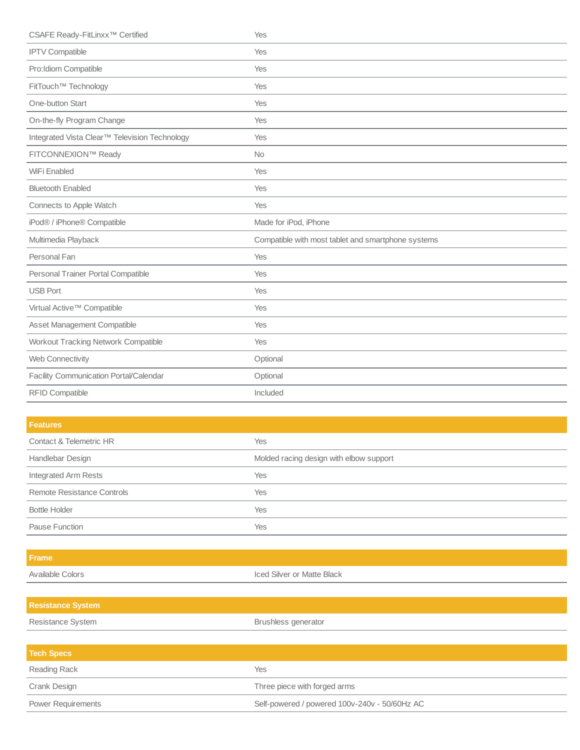| CSAFE Ready-FitLinxx <sup>™</sup> Certified   | Yes                                                |
|-----------------------------------------------|----------------------------------------------------|
| <b>IPTV Compatible</b>                        | Yes                                                |
| Pro: Idiom Compatible                         | Yes                                                |
| FitTouch™ Technology                          | Yes                                                |
| One-button Start                              | Yes                                                |
| On-the-fly Program Change                     | Yes                                                |
| Integrated Vista Clear™ Television Technology | Yes                                                |
| FITCONNEXION™ Ready                           | <b>No</b>                                          |
| WiFi Enabled                                  | Yes                                                |
| <b>Bluetooth Enabled</b>                      | Yes                                                |
| Connects to Apple Watch                       | Yes                                                |
| iPod® / iPhone® Compatible                    | Made for iPod, iPhone                              |
| Multimedia Playback                           | Compatible with most tablet and smartphone systems |
| Personal Fan                                  | Yes                                                |
| Personal Trainer Portal Compatible            | Yes                                                |
| <b>USB Port</b>                               | Yes                                                |
| Virtual Active™ Compatible                    | Yes                                                |
| Asset Management Compatible                   | Yes                                                |
| Workout Tracking Network Compatible           | Yes                                                |
| Web Connectivity                              | Optional                                           |
| Facility Communication Portal/Calendar        | Optional                                           |
|                                               |                                                    |
| <b>RFID Compatible</b>                        | Included                                           |

| <b>Features</b>            |                                         |
|----------------------------|-----------------------------------------|
| Contact & Telemetric HR    | <b>Yes</b>                              |
| Handlebar Design           | Molded racing design with elbow support |
| Integrated Arm Rests       | <b>Yes</b>                              |
| Remote Resistance Controls | Yes                                     |
| <b>Bottle Holder</b>       | Yes                                     |
| Pause Function             | Yes                                     |

Available Colors **Iced Silver or Matte Black Resistance System**

| Resistance System         | Brushless generator                           |
|---------------------------|-----------------------------------------------|
|                           |                                               |
| <b>Tech Specs</b>         |                                               |
| Reading Rack              | Yes                                           |
| Crank Design              | Three piece with forged arms                  |
| <b>Power Requirements</b> | Self-powered / powered 100v-240v - 50/60Hz AC |